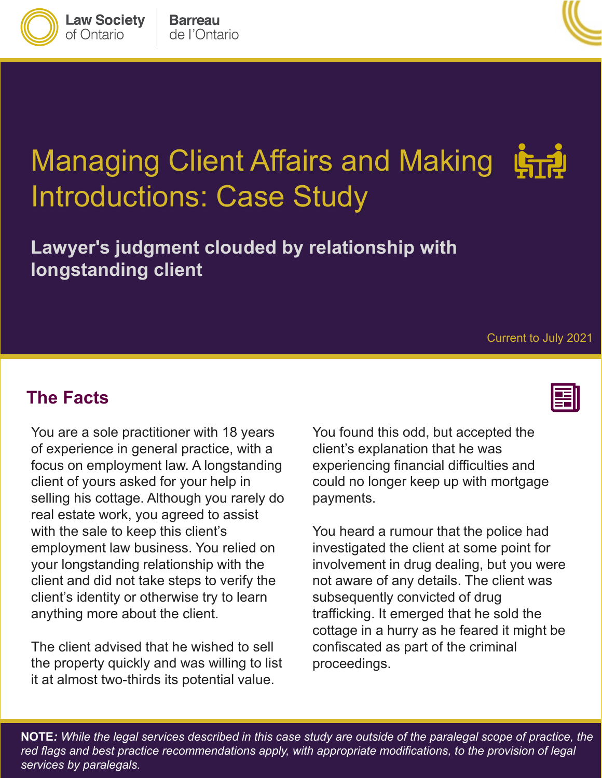

**Lawyer's judgment clouded by relationship with longstanding client** 

**The Facts** 

 of experience in general practice, with a focus on employment law. A longstanding employment law business. You relied on You are a sole practitioner with 18 years client of yours asked for your help in selling his cottage. Although you rarely do real estate work, you agreed to assist with the sale to keep this client's your longstanding relationship with the client and did not take steps to verify the client's identity or otherwise try to learn anything more about the client.

The client advised that he wished to sell the property quickly and was willing to list it at almost two-thirds its potential value.

You found this odd, but accepted the client's explanation that he was experiencing financial difficulties and could no longer keep up with mortgage payments.

 not aware of any details. The client was subsequently convicted of drug cottage in a hurry as he feared it might be confiscated as part of the criminal You heard a rumour that the police had investigated the client at some point for involvement in drug dealing, but you were trafficking. It emerged that he sold the proceedings.

 **NOTE***: While the legal services described in this case study are outside of the paralegal scope of practice, the red flags and best practice recommendations apply, with appropriate modifications, to the provision of legal services by paralegals.* 





**Law Society** 

of Ontario